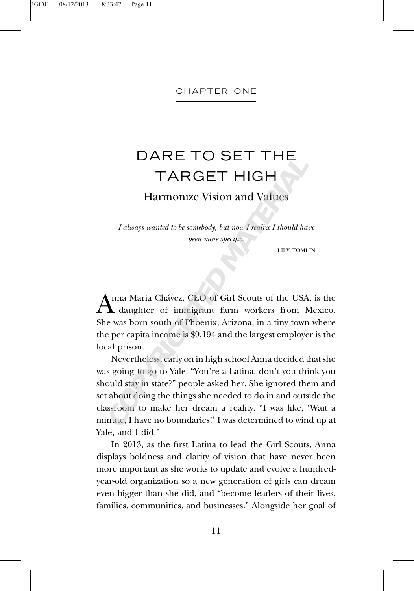#### CHAPTER ONE

# DARE TO SET THE TARGET HIGH

# Harmonize Vision and Values

I always wanted to be somebody, but now I realize I should have been more specific.

LILY TOMLIN

Anna Maria Chávez, CEO of Girl Scouts of the USA, is the daughter of immigrant farm workers from Mexico. She was born south of Phoenix, Arizona, in a tiny town where the per capita income is \$9,194 and the largest employer is the local prison.

Nevertheless, early on in high school Anna decided that she was going to go to Yale. "You're a Latina, don't you think you should stay in state?" people asked her. She ignored them and set about doing the things she needed to do in and outside the classroom to make her dream a reality. "I was like, 'Wait a minute, I have no boundaries!' I was determined to wind up at Yale, and I did." TARGET HIGH<br> *COPYRIGET HIGH*<br> *COPYRIGHTED MATERIAL*<br> *COPYRIGHTED MATERIAL MATERIAL MATERIAL MATERIAL MATERIAL MATERIAL MATERIAL DEPTING MARKERIAL MATERIAL MATERIAL MATERIAL MATERIAL MATERIAL MATERIAL MATERIAL MATERIAL M* 

In 2013, as the first Latina to lead the Girl Scouts, Anna displays boldness and clarity of vision that have never been more important as she works to update and evolve a hundredyear-old organization so a new generation of girls can dream even bigger than she did, and "become leaders of their lives, families, communities, and businesses." Alongside her goal of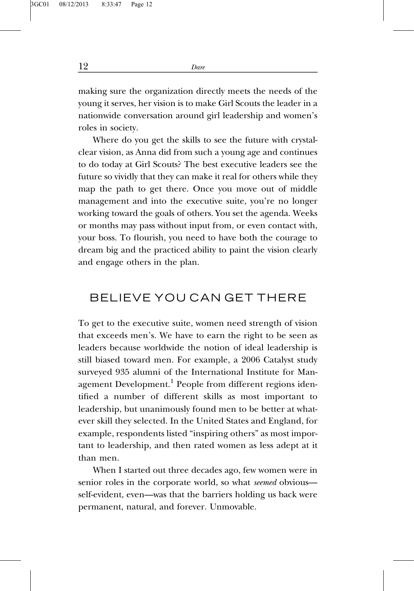$12$  Dare

making sure the organization directly meets the needs of the young it serves, her vision is to make Girl Scouts the leader in a nationwide conversation around girl leadership and women's roles in society.

Where do you get the skills to see the future with crystalclear vision, as Anna did from such a young age and continues to do today at Girl Scouts? The best executive leaders see the future so vividly that they can make it real for others while they map the path to get there. Once you move out of middle management and into the executive suite, you're no longer working toward the goals of others. You set the agenda. Weeks or months may pass without input from, or even contact with, your boss. To flourish, you need to have both the courage to dream big and the practiced ability to paint the vision clearly and engage others in the plan.

# BELIEVE YOU CAN GET THERE

To get to the executive suite, women need strength of vision that exceeds men's. We have to earn the right to be seen as leaders because worldwide the notion of ideal leadership is still biased toward men. For example, a 2006 Catalyst study surveyed 935 alumni of the International Institute for Management Development.<sup>1</sup> People from different regions identified a number of different skills as most important to leadership, but unanimously found men to be better at whatever skill they selected. In the United States and England, for example, respondents listed "inspiring others" as most important to leadership, and then rated women as less adept at it than men.

When I started out three decades ago, few women were in senior roles in the corporate world, so what *seemed* obvious self-evident, even—was that the barriers holding us back were permanent, natural, and forever. Unmovable.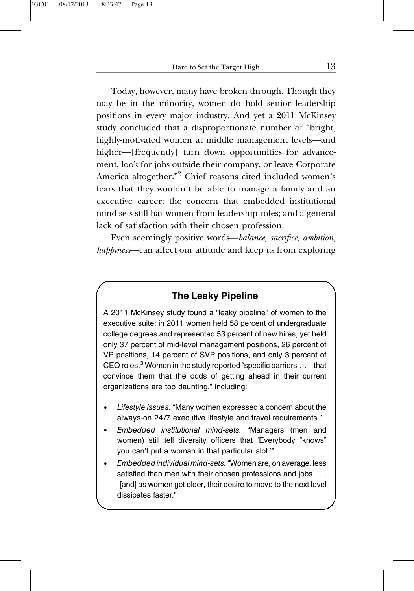Today, however, many have broken through. Though they may be in the minority, women do hold senior leadership positions in every major industry. And yet a 2011 McKinsey study concluded that a disproportionate number of "bright, highly-motivated women at middle management levels—and higher—[frequently] turn down opportunities for advancement, look for jobs outside their company, or leave Corporate America altogether." <sup>2</sup> Chief reasons cited included women's fears that they wouldn't be able to manage a family and an executive career; the concern that embedded institutional mind-sets still bar women from leadership roles; and a general lack of satisfaction with their chosen profession.

Even seemingly positive words—balance, sacrifice, ambition, happiness—can affect our attitude and keep us from exploring

### The Leaky Pipeline

A 2011 McKinsey study found a "leaky pipeline" of women to the executive suite: in 2011 women held 58 percent of undergraduate college degrees and represented 53 percent of new hires, yet held only 37 percent of mid-level management positions, 26 percent of VP positions, 14 percent of SVP positions, and only 3 percent of CEO roles. $3$  Women in the study reported "specific barriers  $\dots$  that convince them that the odds of getting ahead in their current organizations are too daunting," including:

- Lifestyle issues. "Many women expressed a concern about the always-on 24 /7 executive lifestyle and travel requirements."
- Embedded institutional mind-sets. "Managers (men and women) still tell diversity officers that 'Everybody "knows" you can't put a woman in that particular slot.'"
- Embedded individual mind-sets. "Women are, on average, less satisfied than men with their chosen professions and jobs . . . [and] as women get older, their desire to move to the next level dissipates faster."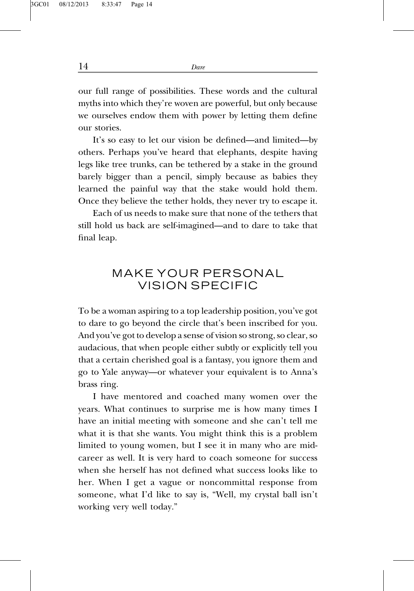our full range of possibilities. These words and the cultural myths into which they're woven are powerful, but only because we ourselves endow them with power by letting them define our stories.

It's so easy to let our vision be defined—and limited—by others. Perhaps you've heard that elephants, despite having legs like tree trunks, can be tethered by a stake in the ground barely bigger than a pencil, simply because as babies they learned the painful way that the stake would hold them. Once they believe the tether holds, they never try to escape it.

Each of us needs to make sure that none of the tethers that still hold us back are self-imagined—and to dare to take that final leap.

# MAKE YOUR PERSONAL VISION SPECIFIC

To be a woman aspiring to a top leadership position, you've got to dare to go beyond the circle that's been inscribed for you. And you've got to develop a sense of vision so strong, so clear, so audacious, that when people either subtly or explicitly tell you that a certain cherished goal is a fantasy, you ignore them and go to Yale anyway—or whatever your equivalent is to Anna's brass ring.

I have mentored and coached many women over the years. What continues to surprise me is how many times I have an initial meeting with someone and she can't tell me what it is that she wants. You might think this is a problem limited to young women, but I see it in many who are midcareer as well. It is very hard to coach someone for success when she herself has not defined what success looks like to her. When I get a vague or noncommittal response from someone, what I'd like to say is, "Well, my crystal ball isn't working very well today."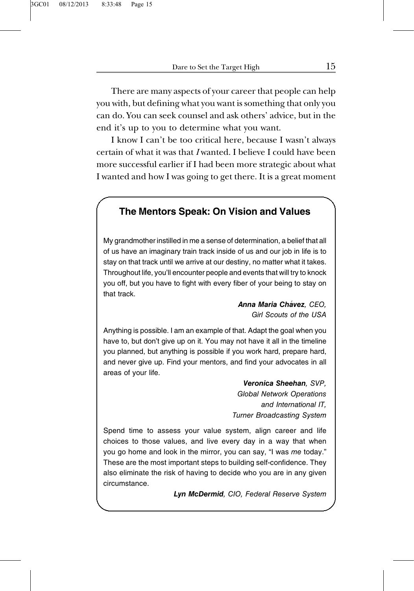There are many aspects of your career that people can help

you with, but defining what you want is something that only you can do. You can seek counsel and ask others' advice, but in the end it's up to you to determine what you want.

I know I can't be too critical here, because I wasn't always certain of what it was that I wanted. I believe I could have been more successful earlier if I had been more strategic about what I wanted and how I was going to get there. It is a great moment

### The Mentors Speak: On Vision and Values

My grandmother instilled in me a sense of determination, a belief that all of us have an imaginary train track inside of us and our job in life is to stay on that track until we arrive at our destiny, no matter what it takes. Throughout life, you'll encounter people and events that will try to knock you off, but you have to fight with every fiber of your being to stay on that track.

> Anna Maria Chávez, CEO, Girl Scouts of the USA

Anything is possible. I am an example of that. Adapt the goal when you have to, but don't give up on it. You may not have it all in the timeline you planned, but anything is possible if you work hard, prepare hard, and never give up. Find your mentors, and find your advocates in all areas of your life.

Veronica Sheehan, SVP,

Global Network Operations and International IT, Turner Broadcasting System

Spend time to assess your value system, align career and life choices to those values, and live every day in a way that when you go home and look in the mirror, you can say, "I was me today." These are the most important steps to building self-confidence. They also eliminate the risk of having to decide who you are in any given circumstance.

Lyn McDermid, CIO, Federal Reserve System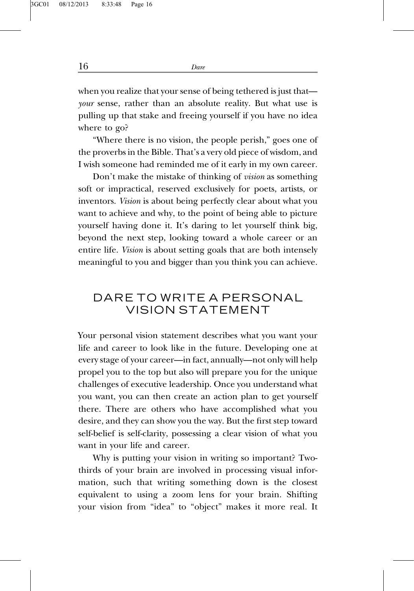$16$  Dare

when you realize that your sense of being tethered is just that your sense, rather than an absolute reality. But what use is pulling up that stake and freeing yourself if you have no idea where to go?

"Where there is no vision, the people perish," goes one of the proverbs in the Bible. That's a very old piece of wisdom, and I wish someone had reminded me of it early in my own career.

Don't make the mistake of thinking of *vision* as something soft or impractical, reserved exclusively for poets, artists, or inventors. Vision is about being perfectly clear about what you want to achieve and why, to the point of being able to picture yourself having done it. It's daring to let yourself think big, beyond the next step, looking toward a whole career or an entire life. Vision is about setting goals that are both intensely meaningful to you and bigger than you think you can achieve.

# DARE TO WRITE A PERSONAL VISION STATEMENT

Your personal vision statement describes what you want your life and career to look like in the future. Developing one at every stage of your career—in fact, annually—not only will help propel you to the top but also will prepare you for the unique challenges of executive leadership. Once you understand what you want, you can then create an action plan to get yourself there. There are others who have accomplished what you desire, and they can show you the way. But the first step toward self-belief is self-clarity, possessing a clear vision of what you want in your life and career.

Why is putting your vision in writing so important? Twothirds of your brain are involved in processing visual information, such that writing something down is the closest equivalent to using a zoom lens for your brain. Shifting your vision from "idea" to "object" makes it more real. It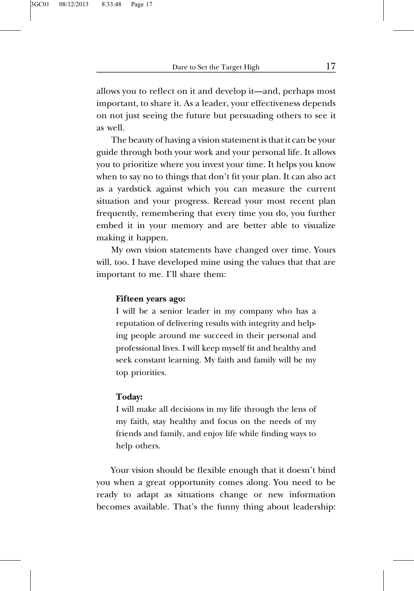Dare to Set the Target High 17

allows you to reflect on it and develop it—and, perhaps most important, to share it. As a leader, your effectiveness depends on not just seeing the future but persuading others to see it as well.

The beauty of having a vision statement is that it can be your guide through both your work and your personal life. It allows you to prioritize where you invest your time. It helps you know when to say no to things that don't fit your plan. It can also act as a yardstick against which you can measure the current situation and your progress. Reread your most recent plan frequently, remembering that every time you do, you further embed it in your memory and are better able to visualize making it happen.

My own vision statements have changed over time. Yours will, too. I have developed mine using the values that that are important to me. I'll share them:

#### Fifteen years ago:

I will be a senior leader in my company who has a reputation of delivering results with integrity and helping people around me succeed in their personal and professional lives. I will keep myself fit and healthy and seek constant learning. My faith and family will be my top priorities.

#### Today:

I will make all decisions in my life through the lens of my faith, stay healthy and focus on the needs of my friends and family, and enjoy life while finding ways to help others.

Your vision should be flexible enough that it doesn't bind you when a great opportunity comes along. You need to be ready to adapt as situations change or new information becomes available. That's the funny thing about leadership: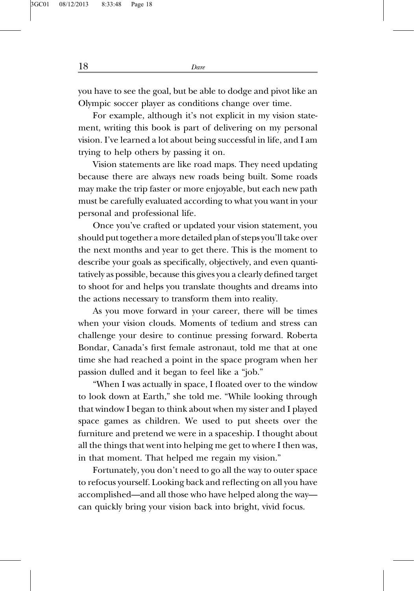you have to see the goal, but be able to dodge and pivot like an Olympic soccer player as conditions change over time.

For example, although it's not explicit in my vision statement, writing this book is part of delivering on my personal vision. I've learned a lot about being successful in life, and I am trying to help others by passing it on.

Vision statements are like road maps. They need updating because there are always new roads being built. Some roads may make the trip faster or more enjoyable, but each new path must be carefully evaluated according to what you want in your personal and professional life.

Once you've crafted or updated your vision statement, you should put together a more detailed plan of steps you'll take over the next months and year to get there. This is the moment to describe your goals as specifically, objectively, and even quantitatively as possible, because this gives you a clearly defined target to shoot for and helps you translate thoughts and dreams into the actions necessary to transform them into reality.

As you move forward in your career, there will be times when your vision clouds. Moments of tedium and stress can challenge your desire to continue pressing forward. Roberta Bondar, Canada's first female astronaut, told me that at one time she had reached a point in the space program when her passion dulled and it began to feel like a "job."

"When I was actually in space, I floated over to the window to look down at Earth," she told me. "While looking through that window I began to think about when my sister and I played space games as children. We used to put sheets over the furniture and pretend we were in a spaceship. I thought about all the things that went into helping me get to where I then was, in that moment. That helped me regain my vision."

Fortunately, you don't need to go all the way to outer space to refocus yourself. Looking back and reflecting on all you have accomplished—and all those who have helped along the way can quickly bring your vision back into bright, vivid focus.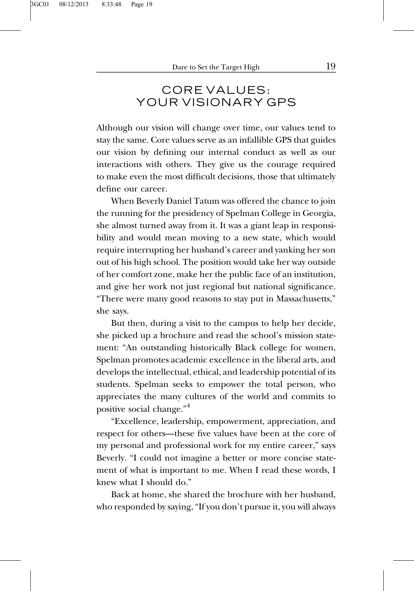# CORE VALUES: YOUR VISIONARY GPS

Although our vision will change over time, our values tend to stay the same. Core values serve as an infallible GPS that guides our vision by defining our internal conduct as well as our interactions with others. They give us the courage required to make even the most difficult decisions, those that ultimately define our career.

When Beverly Daniel Tatum was offered the chance to join the running for the presidency of Spelman College in Georgia, she almost turned away from it. It was a giant leap in responsibility and would mean moving to a new state, which would require interrupting her husband's career and yanking her son out of his high school. The position would take her way outside of her comfort zone, make her the public face of an institution, and give her work not just regional but national significance. "There were many good reasons to stay put in Massachusetts," she says.

But then, during a visit to the campus to help her decide, she picked up a brochure and read the school's mission statement: "An outstanding historically Black college for women, Spelman promotes academic excellence in the liberal arts, and develops the intellectual, ethical, and leadership potential of its students. Spelman seeks to empower the total person, who appreciates the many cultures of the world and commits to positive social change." 4

"Excellence, leadership, empowerment, appreciation, and respect for others—these five values have been at the core of my personal and professional work for my entire career," says Beverly. "I could not imagine a better or more concise statement of what is important to me. When I read these words, I knew what I should do."

Back at home, she shared the brochure with her husband, who responded by saying,"If you don't pursue it, you will always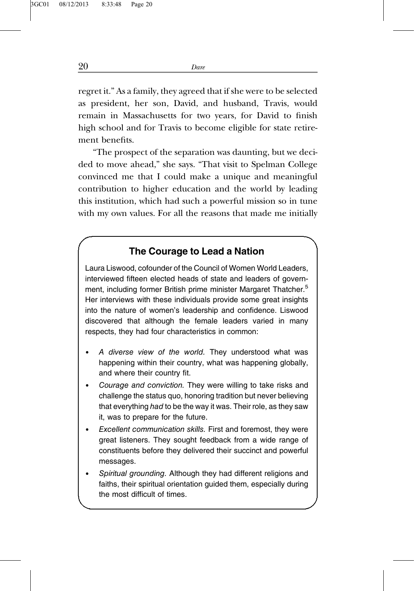regret it." As a family, they agreed that if she were to be selected as president, her son, David, and husband, Travis, would remain in Massachusetts for two years, for David to finish high school and for Travis to become eligible for state retirement benefits.

"The prospect of the separation was daunting, but we decided to move ahead," she says. "That visit to Spelman College convinced me that I could make a unique and meaningful contribution to higher education and the world by leading this institution, which had such a powerful mission so in tune with my own values. For all the reasons that made me initially

### The Courage to Lead a Nation

Laura Liswood, cofounder of the Council of Women World Leaders, interviewed fifteen elected heads of state and leaders of government, including former British prime minister Margaret Thatcher.<sup>5</sup> Her interviews with these individuals provide some great insights into the nature of women's leadership and confidence. Liswood discovered that although the female leaders varied in many respects, they had four characteristics in common:

- A diverse view of the world. They understood what was happening within their country, what was happening globally, and where their country fit.
- Courage and conviction. They were willing to take risks and challenge the status quo, honoring tradition but never believing that everything had to be the way it was. Their role, as they saw it, was to prepare for the future.
- Excellent communication skills. First and foremost, they were great listeners. They sought feedback from a wide range of constituents before they delivered their succinct and powerful messages.
- Spiritual grounding. Although they had different religions and faiths, their spiritual orientation guided them, especially during the most difficult of times.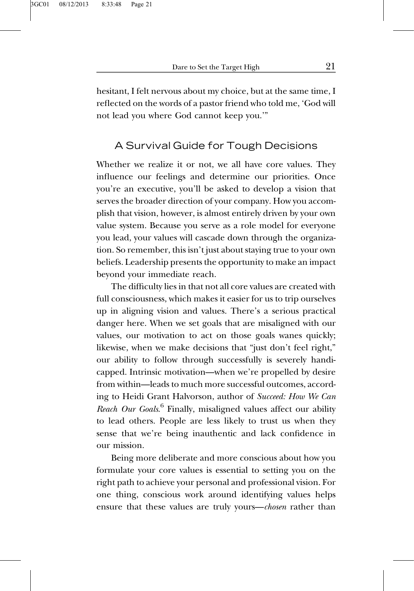hesitant, I felt nervous about my choice, but at the same time, I reflected on the words of a pastor friend who told me, 'God will not lead you where God cannot keep you.'"

### A Survival Guide for Tough Decisions

Whether we realize it or not, we all have core values. They influence our feelings and determine our priorities. Once you're an executive, you'll be asked to develop a vision that serves the broader direction of your company. How you accomplish that vision, however, is almost entirely driven by your own value system. Because you serve as a role model for everyone you lead, your values will cascade down through the organization. So remember, this isn't just about staying true to your own beliefs. Leadership presents the opportunity to make an impact beyond your immediate reach.

The difficulty lies in that not all core values are created with full consciousness, which makes it easier for us to trip ourselves up in aligning vision and values. There's a serious practical danger here. When we set goals that are misaligned with our values, our motivation to act on those goals wanes quickly; likewise, when we make decisions that "just don't feel right," our ability to follow through successfully is severely handicapped. Intrinsic motivation—when we're propelled by desire from within—leads to much more successful outcomes, according to Heidi Grant Halvorson, author of Succeed: How We Can Reach Our Goals.<sup>6</sup> Finally, misaligned values affect our ability to lead others. People are less likely to trust us when they sense that we're being inauthentic and lack confidence in our mission.

Being more deliberate and more conscious about how you formulate your core values is essential to setting you on the right path to achieve your personal and professional vision. For one thing, conscious work around identifying values helps ensure that these values are truly yours—*chosen* rather than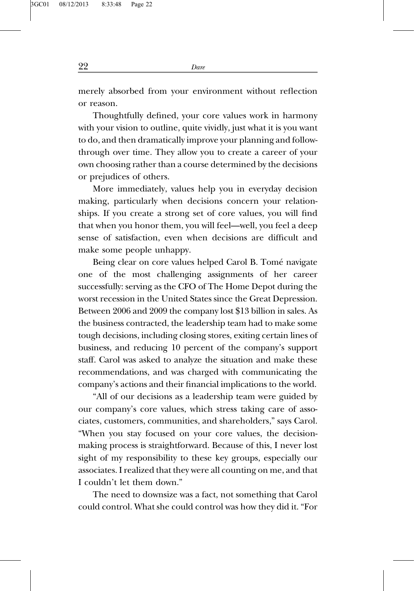$22$  Dare

merely absorbed from your environment without reflection or reason.

Thoughtfully defined, your core values work in harmony with your vision to outline, quite vividly, just what it is you want to do, and then dramatically improve your planning and followthrough over time. They allow you to create a career of your own choosing rather than a course determined by the decisions or prejudices of others.

More immediately, values help you in everyday decision making, particularly when decisions concern your relationships. If you create a strong set of core values, you will find that when you honor them, you will feel—well, you feel a deep sense of satisfaction, even when decisions are difficult and make some people unhappy.

Being clear on core values helped Carol B. Tomé navigate one of the most challenging assignments of her career successfully: serving as the CFO of The Home Depot during the worst recession in the United States since the Great Depression. Between 2006 and 2009 the company lost \$13 billion in sales. As the business contracted, the leadership team had to make some tough decisions, including closing stores, exiting certain lines of business, and reducing 10 percent of the company's support staff. Carol was asked to analyze the situation and make these recommendations, and was charged with communicating the company's actions and their financial implications to the world.

"All of our decisions as a leadership team were guided by our company's core values, which stress taking care of associates, customers, communities, and shareholders," says Carol. "When you stay focused on your core values, the decisionmaking process is straightforward. Because of this, I never lost sight of my responsibility to these key groups, especially our associates. I realized that they were all counting on me, and that I couldn't let them down."

The need to downsize was a fact, not something that Carol could control. What she could control was how they did it. "For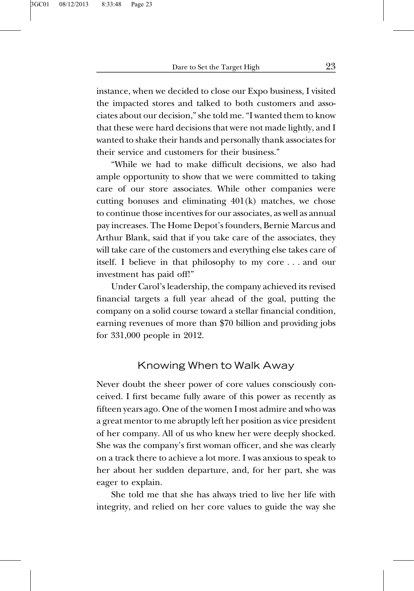instance, when we decided to close our Expo business, I visited the impacted stores and talked to both customers and associates about our decision,"she told me."I wanted them to know that these were hard decisions that were not made lightly, and I wanted to shake their hands and personally thank associates for their service and customers for their business."

"While we had to make difficult decisions, we also had ample opportunity to show that we were committed to taking care of our store associates. While other companies were cutting bonuses and eliminating 401(k) matches, we chose to continue those incentives for our associates, as well as annual pay increases. The Home Depot's founders, Bernie Marcus and Arthur Blank, said that if you take care of the associates, they will take care of the customers and everything else takes care of itself. I believe in that philosophy to my core . . . and our investment has paid off!"

Under Carol's leadership, the company achieved its revised financial targets a full year ahead of the goal, putting the company on a solid course toward a stellar financial condition, earning revenues of more than \$70 billion and providing jobs for 331,000 people in 2012.

## Knowing When to Walk Away

Never doubt the sheer power of core values consciously conceived. I first became fully aware of this power as recently as fifteen years ago. One of the women I most admire and who was a great mentor to me abruptly left her position as vice president of her company. All of us who knew her were deeply shocked. She was the company's first woman officer, and she was clearly on a track there to achieve a lot more. I was anxious to speak to her about her sudden departure, and, for her part, she was eager to explain.

She told me that she has always tried to live her life with integrity, and relied on her core values to guide the way she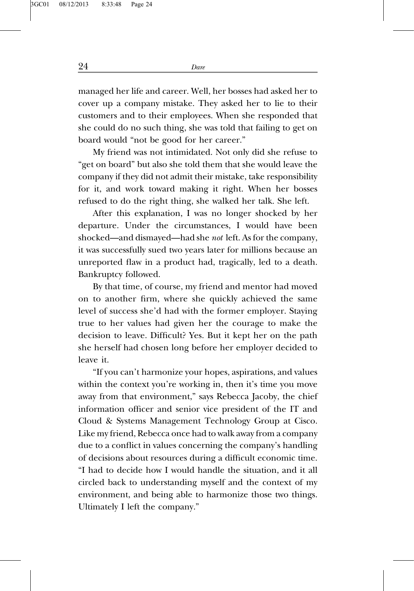managed her life and career. Well, her bosses had asked her to cover up a company mistake. They asked her to lie to their customers and to their employees. When she responded that she could do no such thing, she was told that failing to get on board would "not be good for her career."

My friend was not intimidated. Not only did she refuse to "get on board" but also she told them that she would leave the company if they did not admit their mistake, take responsibility for it, and work toward making it right. When her bosses refused to do the right thing, she walked her talk. She left.

After this explanation, I was no longer shocked by her departure. Under the circumstances, I would have been shocked—and dismayed—had she not left. As for the company, it was successfully sued two years later for millions because an unreported flaw in a product had, tragically, led to a death. Bankruptcy followed.

By that time, of course, my friend and mentor had moved on to another firm, where she quickly achieved the same level of success she'd had with the former employer. Staying true to her values had given her the courage to make the decision to leave. Difficult? Yes. But it kept her on the path she herself had chosen long before her employer decided to leave it.

"If you can't harmonize your hopes, aspirations, and values within the context you're working in, then it's time you move away from that environment," says Rebecca Jacoby, the chief information officer and senior vice president of the IT and Cloud & Systems Management Technology Group at Cisco. Like my friend, Rebecca once had to walk away from a company due to a conflict in values concerning the company's handling of decisions about resources during a difficult economic time. "I had to decide how I would handle the situation, and it all circled back to understanding myself and the context of my environment, and being able to harmonize those two things. Ultimately I left the company."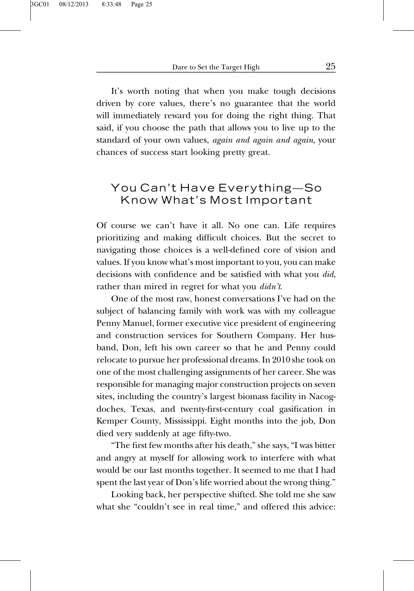It's worth noting that when you make tough decisions driven by core values, there's no guarantee that the world will immediately reward you for doing the right thing. That said, if you choose the path that allows you to live up to the standard of your own values, *again and again and again*, your chances of success start looking pretty great.

# You Can't Have Everything-So Know What 's Most Important

Of course we can't have it all. No one can. Life requires prioritizing and making difficult choices. But the secret to navigating those choices is a well-defined core of vision and values. If you know what's most important to you, you can make decisions with confidence and be satisfied with what you did, rather than mired in regret for what you *didn't*.

One of the most raw, honest conversations I've had on the subject of balancing family with work was with my colleague Penny Manuel, former executive vice president of engineering and construction services for Southern Company. Her husband, Don, left his own career so that he and Penny could relocate to pursue her professional dreams. In 2010 she took on one of the most challenging assignments of her career. She was responsible for managing major construction projects on seven sites, including the country's largest biomass facility in Nacogdoches, Texas, and twenty-first-century coal gasification in Kemper County, Mississippi. Eight months into the job, Don died very suddenly at age fifty-two.

"The first few months after his death," she says, "I was bitter and angry at myself for allowing work to interfere with what would be our last months together. It seemed to me that I had spent the last year of Don's life worried about the wrong thing."

Looking back, her perspective shifted. She told me she saw what she "couldn't see in real time," and offered this advice: